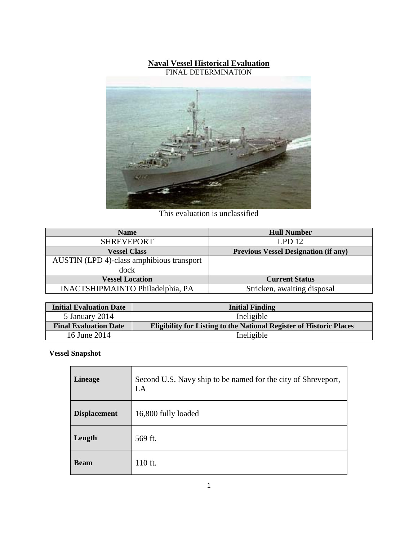#### **Naval Vessel Historical Evaluation** FINAL DETERMINATION



This evaluation is unclassified

| <b>Name</b>                               | <b>Hull Number</b>                          |
|-------------------------------------------|---------------------------------------------|
| <b>SHREVEPORT</b>                         | LPD <sub>12</sub>                           |
| <b>Vessel Class</b>                       | <b>Previous Vessel Designation (if any)</b> |
| AUSTIN (LPD 4)-class amphibious transport |                                             |
| dock                                      |                                             |
| <b>Vessel Location</b>                    | <b>Current Status</b>                       |
| <b>INACTSHIPMAINTO Philadelphia, PA</b>   | Stricken, awaiting disposal                 |

| <b>Initial Evaluation Date</b> | <b>Initial Finding</b>                                                     |
|--------------------------------|----------------------------------------------------------------------------|
| 5 January 2014                 | Ineligible                                                                 |
| <b>Final Evaluation Date</b>   | <b>Eligibility for Listing to the National Register of Historic Places</b> |
| 16 June 2014                   | Ineligible                                                                 |

## **Vessel Snapshot**

| <b>Lineage</b>      | Second U.S. Navy ship to be named for the city of Shreveport,<br>LA |
|---------------------|---------------------------------------------------------------------|
| <b>Displacement</b> | 16,800 fully loaded                                                 |
| Length              | 569 ft.                                                             |
| <b>Beam</b>         | 110 ft.                                                             |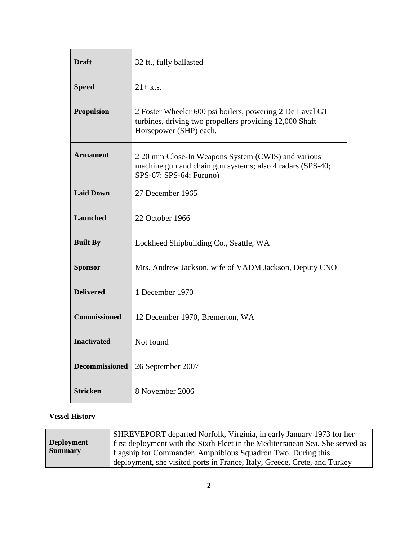| <b>Draft</b>          | 32 ft., fully ballasted                                                                                                                       |  |
|-----------------------|-----------------------------------------------------------------------------------------------------------------------------------------------|--|
| <b>Speed</b>          | $21+$ kts.                                                                                                                                    |  |
| <b>Propulsion</b>     | 2 Foster Wheeler 600 psi boilers, powering 2 De Laval GT<br>turbines, driving two propellers providing 12,000 Shaft<br>Horsepower (SHP) each. |  |
| <b>Armament</b>       | 2 20 mm Close-In Weapons System (CWIS) and various<br>machine gun and chain gun systems; also 4 radars (SPS-40;<br>SPS-67; SPS-64; Furuno)    |  |
| <b>Laid Down</b>      | 27 December 1965                                                                                                                              |  |
| Launched              | 22 October 1966                                                                                                                               |  |
| <b>Built By</b>       | Lockheed Shipbuilding Co., Seattle, WA                                                                                                        |  |
| <b>Sponsor</b>        | Mrs. Andrew Jackson, wife of VADM Jackson, Deputy CNO                                                                                         |  |
| <b>Delivered</b>      | 1 December 1970                                                                                                                               |  |
| <b>Commissioned</b>   | 12 December 1970, Bremerton, WA                                                                                                               |  |
| <b>Inactivated</b>    | Not found                                                                                                                                     |  |
| <b>Decommissioned</b> | 26 September 2007                                                                                                                             |  |
| <b>Stricken</b>       | 8 November 2006                                                                                                                               |  |

## **Vessel History**

|                   | SHREVEPORT departed Norfolk, Virginia, in early January 1973 for her          |
|-------------------|-------------------------------------------------------------------------------|
| <b>Deployment</b> | first deployment with the Sixth Fleet in the Mediterranean Sea. She served as |
| <b>Summary</b>    | flagship for Commander, Amphibious Squadron Two. During this                  |
|                   | deployment, she visited ports in France, Italy, Greece, Crete, and Turkey     |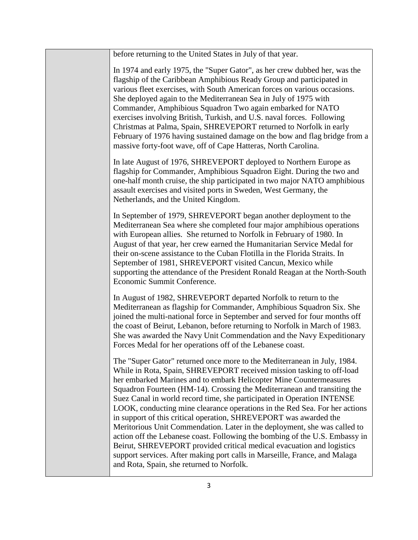before returning to the United States in July of that year. In 1974 and early 1975, the "Super Gator", as her crew dubbed her, was the flagship of the Caribbean Amphibious Ready Group and participated in various fleet exercises, with South American forces on various occasions. She deployed again to the Mediterranean Sea in July of 1975 with Commander, Amphibious Squadron Two again embarked for NATO exercises involving British, Turkish, and U.S. naval forces. Following Christmas at Palma, Spain, SHREVEPORT returned to Norfolk in early February of 1976 having sustained damage on the bow and flag bridge from a massive forty-foot wave, off of Cape Hatteras, North Carolina. In late August of 1976, SHREVEPORT deployed to Northern Europe as flagship for Commander, Amphibious Squadron Eight. During the two and one-half month cruise, the ship participated in two major NATO amphibious assault exercises and visited ports in Sweden, West Germany, the Netherlands, and the United Kingdom. In September of 1979, SHREVEPORT began another deployment to the Mediterranean Sea where she completed four major amphibious operations with European allies. She returned to Norfolk in February of 1980. In August of that year, her crew earned the Humanitarian Service Medal for their on-scene assistance to the Cuban Flotilla in the Florida Straits. In September of 1981, SHREVEPORT visited Cancun, Mexico while supporting the attendance of the President Ronald Reagan at the North-South Economic Summit Conference. In August of 1982, SHREVEPORT departed Norfolk to return to the Mediterranean as flagship for Commander, Amphibious Squadron Six. She joined the multi-national force in September and served for four months off the coast of Beirut, Lebanon, before returning to Norfolk in March of 1983. She was awarded the Navy Unit Commendation and the Navy Expeditionary Forces Medal for her operations off of the Lebanese coast. The "Super Gator" returned once more to the Mediterranean in July, 1984. While in Rota, Spain, SHREVEPORT received mission tasking to off-load her embarked Marines and to embark Helicopter Mine Countermeasures Squadron Fourteen (HM-14). Crossing the Mediterranean and transiting the Suez Canal in world record time, she participated in Operation INTENSE LOOK, conducting mine clearance operations in the Red Sea. For her actions in support of this critical operation, SHREVEPORT was awarded the Meritorious Unit Commendation. Later in the deployment, she was called to action off the Lebanese coast. Following the bombing of the U.S. Embassy in Beirut, SHREVEPORT provided critical medical evacuation and logistics support services. After making port calls in Marseille, France, and Malaga and Rota, Spain, she returned to Norfolk.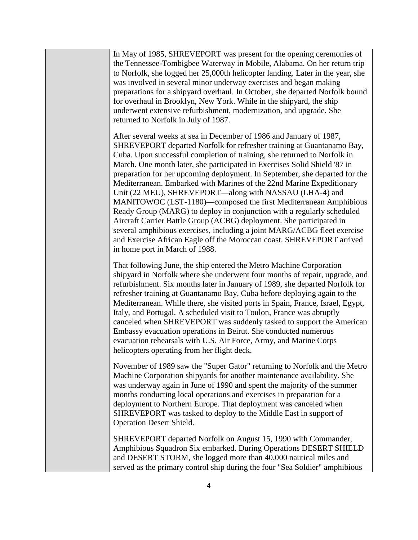In May of 1985, SHREVEPORT was present for the opening ceremonies of the Tennessee-Tombigbee Waterway in Mobile, Alabama. On her return trip to Norfolk, she logged her 25,000th helicopter landing. Later in the year, she was involved in several minor underway exercises and began making preparations for a shipyard overhaul. In October, she departed Norfolk bound for overhaul in Brooklyn, New York. While in the shipyard, the ship underwent extensive refurbishment, modernization, and upgrade. She returned to Norfolk in July of 1987.

After several weeks at sea in December of 1986 and January of 1987, SHREVEPORT departed Norfolk for refresher training at Guantanamo Bay, Cuba. Upon successful completion of training, she returned to Norfolk in March. One month later, she participated in Exercises Solid Shield '87 in preparation for her upcoming deployment. In September, she departed for the Mediterranean. Embarked with Marines of the 22nd Marine Expeditionary Unit (22 MEU), SHREVEPORT—along with NASSAU (LHA-4) and MANITOWOC (LST-1180)—composed the first Mediterranean Amphibious Ready Group (MARG) to deploy in conjunction with a regularly scheduled Aircraft Carrier Battle Group (ACBG) deployment. She participated in several amphibious exercises, including a joint MARG/ACBG fleet exercise and Exercise African Eagle off the Moroccan coast. SHREVEPORT arrived in home port in March of 1988.

That following June, the ship entered the Metro Machine Corporation shipyard in Norfolk where she underwent four months of repair, upgrade, and refurbishment. Six months later in January of 1989, she departed Norfolk for refresher training at Guantanamo Bay, Cuba before deploying again to the Mediterranean. While there, she visited ports in Spain, France, Israel, Egypt, Italy, and Portugal. A scheduled visit to Toulon, France was abruptly canceled when SHREVEPORT was suddenly tasked to support the American Embassy evacuation operations in Beirut. She conducted numerous evacuation rehearsals with U.S. Air Force, Army, and Marine Corps helicopters operating from her flight deck.

November of 1989 saw the "Super Gator" returning to Norfolk and the Metro Machine Corporation shipyards for another maintenance availability. She was underway again in June of 1990 and spent the majority of the summer months conducting local operations and exercises in preparation for a deployment to Northern Europe. That deployment was canceled when SHREVEPORT was tasked to deploy to the Middle East in support of Operation Desert Shield.

SHREVEPORT departed Norfolk on August 15, 1990 with Commander, Amphibious Squadron Six embarked. During Operations DESERT SHIELD and DESERT STORM, she logged more than 40,000 nautical miles and served as the primary control ship during the four "Sea Soldier" amphibious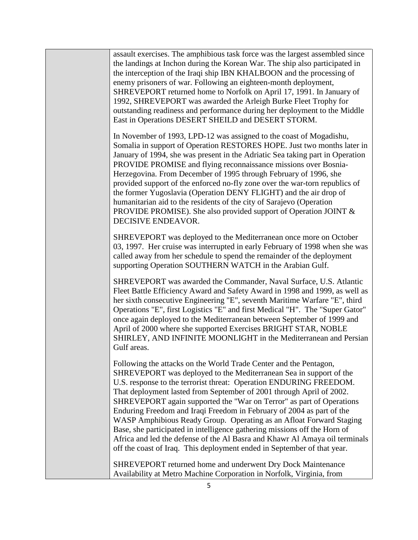assault exercises. The amphibious task force was the largest assembled since the landings at Inchon during the Korean War. The ship also participated in the interception of the Iraqi ship IBN KHALBOON and the processing of enemy prisoners of war. Following an eighteen-month deployment, SHREVEPORT returned home to Norfolk on April 17, 1991. In January of 1992, SHREVEPORT was awarded the Arleigh Burke Fleet Trophy for outstanding readiness and performance during her deployment to the Middle East in Operations DESERT SHEILD and DESERT STORM.

In November of 1993, LPD-12 was assigned to the coast of Mogadishu, Somalia in support of Operation RESTORES HOPE. Just two months later in January of 1994, she was present in the Adriatic Sea taking part in Operation PROVIDE PROMISE and flying reconnaissance missions over Bosnia-Herzegovina. From December of 1995 through February of 1996, she provided support of the enforced no-fly zone over the war-torn republics of the former Yugoslavia (Operation DENY FLIGHT) and the air drop of humanitarian aid to the residents of the city of Sarajevo (Operation PROVIDE PROMISE). She also provided support of Operation JOINT & DECISIVE ENDEAVOR.

SHREVEPORT was deployed to the Mediterranean once more on October 03, 1997. Her cruise was interrupted in early February of 1998 when she was called away from her schedule to spend the remainder of the deployment supporting Operation SOUTHERN WATCH in the Arabian Gulf.

SHREVEPORT was awarded the Commander, Naval Surface, U.S. Atlantic Fleet Battle Efficiency Award and Safety Award in 1998 and 1999, as well as her sixth consecutive Engineering "E", seventh Maritime Warfare "E", third Operations "E", first Logistics "E" and first Medical "H". The "Super Gator" once again deployed to the Mediterranean between September of 1999 and April of 2000 where she supported Exercises BRIGHT STAR, NOBLE SHIRLEY, AND INFINITE MOONLIGHT in the Mediterranean and Persian Gulf areas.

Following the attacks on the World Trade Center and the Pentagon, SHREVEPORT was deployed to the Mediterranean Sea in support of the U.S. response to the terrorist threat: Operation ENDURING FREEDOM. That deployment lasted from September of 2001 through April of 2002. SHREVEPORT again supported the "War on Terror" as part of Operations Enduring Freedom and Iraqi Freedom in February of 2004 as part of the WASP Amphibious Ready Group. Operating as an Afloat Forward Staging Base, she participated in intelligence gathering missions off the Horn of Africa and led the defense of the Al Basra and Khawr Al Amaya oil terminals off the coast of Iraq. This deployment ended in September of that year.

SHREVEPORT returned home and underwent Dry Dock Maintenance Availability at Metro Machine Corporation in Norfolk, Virginia, from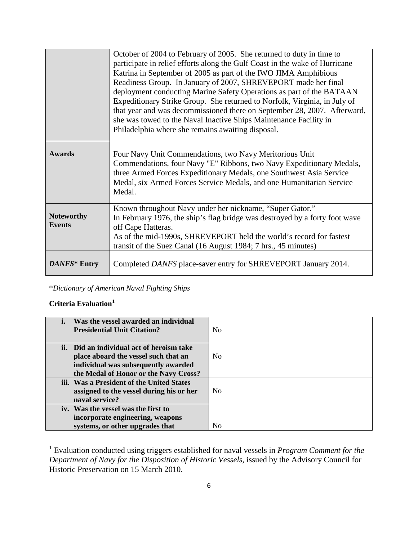|                                    | October of 2004 to February of 2005. She returned to duty in time to<br>participate in relief efforts along the Gulf Coast in the wake of Hurricane<br>Katrina in September of 2005 as part of the IWO JIMA Amphibious<br>Readiness Group. In January of 2007, SHREVEPORT made her final<br>deployment conducting Marine Safety Operations as part of the BATAAN<br>Expeditionary Strike Group. She returned to Norfolk, Virginia, in July of<br>that year and was decommissioned there on September 28, 2007. Afterward,<br>she was towed to the Naval Inactive Ships Maintenance Facility in<br>Philadelphia where she remains awaiting disposal. |
|------------------------------------|-----------------------------------------------------------------------------------------------------------------------------------------------------------------------------------------------------------------------------------------------------------------------------------------------------------------------------------------------------------------------------------------------------------------------------------------------------------------------------------------------------------------------------------------------------------------------------------------------------------------------------------------------------|
| <b>Awards</b>                      | Four Navy Unit Commendations, two Navy Meritorious Unit<br>Commendations, four Navy "E" Ribbons, two Navy Expeditionary Medals,<br>three Armed Forces Expeditionary Medals, one Southwest Asia Service<br>Medal, six Armed Forces Service Medals, and one Humanitarian Service<br>Medal.                                                                                                                                                                                                                                                                                                                                                            |
| <b>Noteworthy</b><br><b>Events</b> | Known throughout Navy under her nickname, "Super Gator."<br>In February 1976, the ship's flag bridge was destroyed by a forty foot wave<br>off Cape Hatteras.<br>As of the mid-1990s, SHREVEPORT held the world's record for fastest<br>transit of the Suez Canal (16 August 1984; 7 hrs., 45 minutes)                                                                                                                                                                                                                                                                                                                                              |
| DANFS* Entry                       | Completed DANFS place-saver entry for SHREVEPORT January 2014.                                                                                                                                                                                                                                                                                                                                                                                                                                                                                                                                                                                      |

\**Dictionary of American Naval Fighting Ships*

# **Criteria Evaluation[1](#page-5-0)**

| Was the vessel awarded an individual<br><b>Presidential Unit Citation?</b>                                                                                        | N <sub>0</sub> |
|-------------------------------------------------------------------------------------------------------------------------------------------------------------------|----------------|
| ii. Did an individual act of heroism take<br>place aboard the vessel such that an<br>individual was subsequently awarded<br>the Medal of Honor or the Navy Cross? | N <sub>0</sub> |
| iii. Was a President of the United States<br>assigned to the vessel during his or her<br>naval service?                                                           | N <sub>0</sub> |
| iv. Was the vessel was the first to<br>incorporate engineering, weapons<br>systems, or other upgrades that                                                        | N <sub>0</sub> |

<span id="page-5-0"></span><sup>1</sup> Evaluation conducted using triggers established for naval vessels in *Program Comment for the Department of Navy for the Disposition of Historic Vessels*, issued by the Advisory Council for Historic Preservation on 15 March 2010.